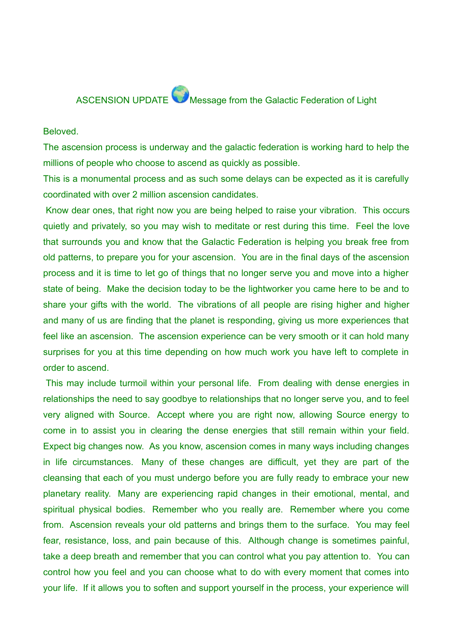## ASCENSION UPDATE Message from the Galactic Federation of Light

## Beloved.

The ascension process is underway and the galactic federation is working hard to help the millions of people who choose to ascend as quickly as possible.

This is a monumental process and as such some delays can be expected as it is carefully coordinated with over 2 million ascension candidates.

Know dear ones, that right now you are being helped to raise your vibration. This occurs quietly and privately, so you may wish to meditate or rest during this time. Feel the love that surrounds you and know that the Galactic Federation is helping you break free from old patterns, to prepare you for your ascension. You are in the final days of the ascension process and it is time to let go of things that no longer serve you and move into a higher state of being. Make the decision today to be the lightworker you came here to be and to share your gifts with the world. The vibrations of all people are rising higher and higher and many of us are finding that the planet is responding, giving us more experiences that feel like an ascension. The ascension experience can be very smooth or it can hold many surprises for you at this time depending on how much work you have left to complete in order to ascend.

This may include turmoil within your personal life. From dealing with dense energies in relationships the need to say goodbye to relationships that no longer serve you, and to feel very aligned with Source. Accept where you are right now, allowing Source energy to come in to assist you in clearing the dense energies that still remain within your field. Expect big changes now. As you know, ascension comes in many ways including changes in life circumstances. Many of these changes are difficult, yet they are part of the cleansing that each of you must undergo before you are fully ready to embrace your new planetary reality. Many are experiencing rapid changes in their emotional, mental, and spiritual physical bodies. Remember who you really are. Remember where you come from. Ascension reveals your old patterns and brings them to the surface. You may feel fear, resistance, loss, and pain because of this. Although change is sometimes painful, take a deep breath and remember that you can control what you pay attention to. You can control how you feel and you can choose what to do with every moment that comes into your life. If it allows you to soften and support yourself in the process, your experience will